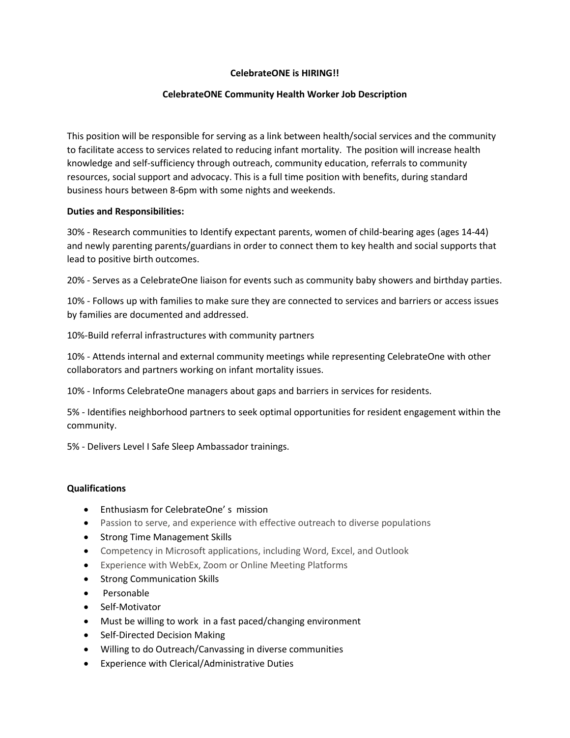## **CelebrateONE is HIRING!!**

### **CelebrateONE Community Health Worker Job Description**

This position will be responsible for serving as a link between health/social services and the community to facilitate access to services related to reducing infant mortality. The position will increase health knowledge and self-sufficiency through outreach, community education, referrals to community resources, social support and advocacy. This is a full time position with benefits, during standard business hours between 8-6pm with some nights and weekends.

#### **Duties and Responsibilities:**

30% - Research communities to Identify expectant parents, women of child-bearing ages (ages 14-44) and newly parenting parents/guardians in order to connect them to key health and social supports that lead to positive birth outcomes.

20% - Serves as a CelebrateOne liaison for events such as community baby showers and birthday parties.

10% - Follows up with families to make sure they are connected to services and barriers or access issues by families are documented and addressed.

10%-Build referral infrastructures with community partners

10% - Attends internal and external community meetings while representing CelebrateOne with other collaborators and partners working on infant mortality issues.

10% - Informs CelebrateOne managers about gaps and barriers in services for residents.

5% - Identifies neighborhood partners to seek optimal opportunities for resident engagement within the community.

5% - Delivers Level I Safe Sleep Ambassador trainings.

#### **Qualifications**

- Enthusiasm for CelebrateOne' s mission
- Passion to serve, and experience with effective outreach to diverse populations
- Strong Time Management Skills
- Competency in Microsoft applications, including Word, Excel, and Outlook
- Experience with WebEx, Zoom or Online Meeting Platforms
- Strong Communication Skills
- Personable
- Self-Motivator
- Must be willing to work in a fast paced/changing environment
- Self-Directed Decision Making
- Willing to do Outreach/Canvassing in diverse communities
- Experience with Clerical/Administrative Duties